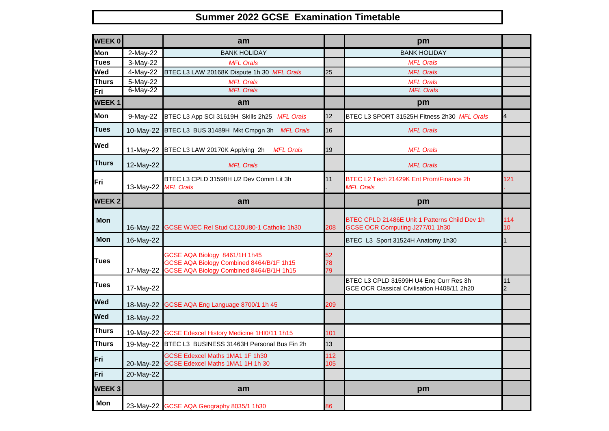## **Summer 2022 GCSE Examination Timetable**

| <b>WEEK0</b> |             | am                                                                                                                    |                 | pm                                                                                    |                        |
|--------------|-------------|-----------------------------------------------------------------------------------------------------------------------|-----------------|---------------------------------------------------------------------------------------|------------------------|
| <b>Mon</b>   | 2-May-22    | <b>BANK HOLIDAY</b>                                                                                                   |                 | <b>BANK HOLIDAY</b>                                                                   |                        |
| <b>Tues</b>  | 3-May-22    | <b>MFL Orals</b>                                                                                                      |                 | <b>MFL Orals</b>                                                                      |                        |
| Wed          | 4-May-22    | BTEC L3 LAW 20168K Dispute 1h 30 MFL Orals                                                                            | 25              | <b>MFL Orals</b>                                                                      |                        |
| <b>Thurs</b> | 5-May-22    | <b>MFL Orals</b>                                                                                                      |                 | <b>MFL Orals</b>                                                                      |                        |
| Fri          | $6$ -May-22 | <b>MFL Orals</b>                                                                                                      |                 | <b>MFL Orals</b>                                                                      |                        |
| <b>WEEK1</b> |             | am                                                                                                                    |                 | pm                                                                                    |                        |
| Mon          | 9-May-22    | BTEC L3 App SCI 31619H Skills 2h25 MFL Orals                                                                          | 12 <sup>2</sup> | BTEC L3 SPORT 31525H Fitness 2h30 MFL Orals                                           | 4                      |
| <b>Tues</b>  | 10-May-22   | BTEC L3 BUS 31489H Mkt Cmpgn 3h MFL Orals                                                                             | 16              | <b>MFL Orals</b>                                                                      |                        |
| Wed          | 11-May-22   | BTEC L3 LAW 20170K Applying 2h<br><b>MFL Orals</b>                                                                    | 19              | <b>MFL Orals</b>                                                                      |                        |
| <b>Thurs</b> | 12-May-22   | <b>MFL Orals</b>                                                                                                      |                 | <b>MFL Orals</b>                                                                      |                        |
| Fri          | 13-May-22   | BTEC L3 CPLD 31598H U2 Dev Comm Lit 3h<br><b>MFL Orals</b>                                                            | 11              | BTEC L2 Tech 21429K Ent Prom/Finance 2h<br><b>MFL Orals</b>                           | 121                    |
| <b>WEEK2</b> |             | am                                                                                                                    |                 | pm                                                                                    |                        |
| <b>Mon</b>   | 16-May-22   | GCSE WJEC Rel Stud C120U80-1 Catholic 1h30                                                                            | 208             | BTEC CPLD 21486E Unit 1 Patterns Child Dev 1h<br>GCSE OCR Computing J277/01 1h30      | 114<br>10 <sup>1</sup> |
| Mon          | 16-May-22   |                                                                                                                       |                 | BTEC L3 Sport 31524H Anatomy 1h30                                                     |                        |
| <b>Tues</b>  | 17-May-22   | GCSE AQA Biology 8461/1H 1h45<br>GCSE AQA Biology Combined 8464/B/1F 1h15<br>GCSE AQA Biology Combined 8464/B/1H 1h15 | 52<br>78<br>79  |                                                                                       |                        |
| <b>Tues</b>  | 17-May-22   |                                                                                                                       |                 | BTEC L3 CPLD 31599H U4 Eng Curr Res 3h<br>GCE OCR Classical Civilisation H408/11 2h20 | 11<br>$\overline{c}$   |
| Wed          | 18-May-22   | GCSE AQA Eng Language 8700/1 1h 45                                                                                    | 209             |                                                                                       |                        |
| <b>Wed</b>   | 18-May-22   |                                                                                                                       |                 |                                                                                       |                        |
| <b>Thurs</b> | 19-May-22   | GCSE Edexcel History Medicine 1HI0/11 1h15                                                                            | 101             |                                                                                       |                        |
| <b>Thurs</b> | 19-May-22   | BTEC L3 BUSINESS 31463H Personal Bus Fin 2h                                                                           | 13              |                                                                                       |                        |
| Fri          | 20-May-22   | GCSE Edexcel Maths 1MA1 1F 1h30<br>GCSE Edexcel Maths 1MA1 1H 1h 30                                                   | 112<br>105      |                                                                                       |                        |
| Fri          | 20-May-22   |                                                                                                                       |                 |                                                                                       |                        |
| <b>WEEK3</b> |             | am                                                                                                                    |                 | pm                                                                                    |                        |
| Mon          |             | 23-May-22 GCSE AQA Geography 8035/1 1h30                                                                              | 86              |                                                                                       |                        |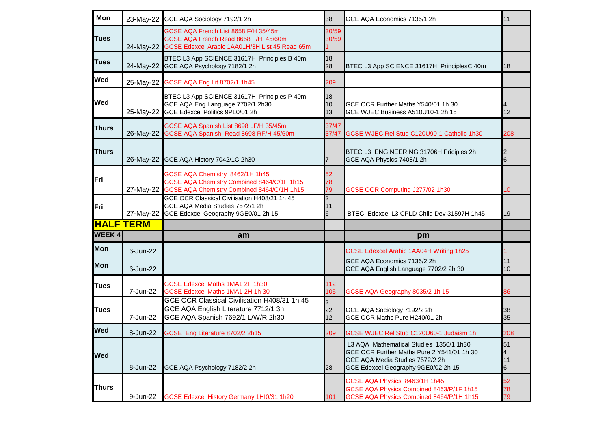| Mon              |           | 23-May-22 GCE AQA Sociology 7192/1 2h                                                                                                     | 38                         | GCE AQA Economics 7136/1 2h                                                                                                                                     | 11                  |
|------------------|-----------|-------------------------------------------------------------------------------------------------------------------------------------------|----------------------------|-----------------------------------------------------------------------------------------------------------------------------------------------------------------|---------------------|
| <b>Tues</b>      |           | GCSE AQA French List 8658 F/H 35/45m<br>GCSE AQA French Read 8658 F/H 45/60m<br>24-May-22 GCSE Edexcel Arabic 1AA01H/3H List 45, Read 65m | 30/59<br>30/59             |                                                                                                                                                                 |                     |
| <b>Tues</b>      |           | BTEC L3 App SCIENCE 31617H Principles B 40m<br>24-May-22 GCE AQA Psychology 7182/1 2h                                                     | 18<br>28                   | BTEC L3 App SCIENCE 31617H PrinciplesC 40m                                                                                                                      | 18                  |
| <b>Wed</b>       |           | 25-May-22 GCSE AQA Eng Lit 8702/1 1h45                                                                                                    | 209                        |                                                                                                                                                                 |                     |
| <b>Wed</b>       | 25-May-22 | BTEC L3 App SCIENCE 31617H Principles P 40m<br>GCE AQA Eng Language 7702/1 2h30<br>GCE Edexcel Politics 9PL0/01 2h                        | 18<br>10<br>13             | GCE OCR Further Maths Y540/01 1h 30<br>GCE WJEC Business A510U10-1 2h 15                                                                                        | 4<br>12             |
| <b>Thurs</b>     | 26-May-22 | GCSE AQA Spanish List 8698 LF/H 35/45m<br>GCSE AQA Spanish Read 8698 RF/H 45/60m                                                          | 37/47<br>37/47             | GCSE WJEC Rel Stud C120U90-1 Catholic 1h30                                                                                                                      | 208                 |
| <b>Thurs</b>     | 26-May-22 | GCE AQA History 7042/1C 2h30                                                                                                              |                            | BTEC L3 ENGINEERING 31706H Priciples 2h<br>GCE AQA Physics 7408/1 2h                                                                                            | 12<br>6             |
| <b>IFri</b>      | 27-May-22 | GCSE AQA Chemistry 8462/1H 1h45<br>GCSE AQA Chemistry Combined 8464/C/1F 1h15<br>GCSE AQA Chemistry Combined 8464/C/1H 1h15               | 52<br>78<br>79             | GCSE OCR Computing J277/02 1h30                                                                                                                                 | 10                  |
| <b>IFri</b>      | 27-May-22 | GCE OCR Classical Civilisation H408/21 1h 45<br>GCE AQA Media Studies 7572/1 2h<br>GCE Edexcel Geography 9GE0/01 2h 15                    | $\overline{2}$<br>11<br>6  | BTEC Edexcel L3 CPLD Child Dev 31597H 1h45                                                                                                                      | 19                  |
| <b>HALF TERM</b> |           |                                                                                                                                           |                            |                                                                                                                                                                 |                     |
| <b>WEEK4</b>     |           | am                                                                                                                                        |                            | pm                                                                                                                                                              |                     |
| Mon              |           |                                                                                                                                           |                            |                                                                                                                                                                 |                     |
|                  | 6-Jun-22  |                                                                                                                                           |                            | GCSE Edexcel Arabic 1AA04H Writing 1h25                                                                                                                         |                     |
| <b>Mon</b>       | 6-Jun-22  |                                                                                                                                           |                            | GCE AQA Economics 7136/2 2h<br>GCE AQA English Language 7702/2 2h 30                                                                                            | 11<br>10            |
| <b>Tues</b>      | 7-Jun-22  | GCSE Edexcel Maths 1MA1 2F 1h30<br>GCSE Edexcel Maths 1MA1 2H 1h 30                                                                       | 112<br>105                 | GCSE AQA Geography 8035/2 1h 15                                                                                                                                 | 86                  |
| <b>Tues</b>      | 7-Jun-22  | GCE OCR Classical Civilisation H408/31 1h 45<br>GCE AQA English Literature 7712/1 3h<br>GCE AQA Spanish 7692/1 L/W/R 2h30                 | $\overline{2}$<br>22<br>12 | GCE AQA Sociology 7192/2 2h<br>GCE OCR Maths Pure H240/01 2h                                                                                                    | 38<br>35            |
| <b>Wed</b>       | 8-Jun-22  | GCSE Eng Literature 8702/2 2h15                                                                                                           | 209                        | GCSE WJEC Rel Stud C120U60-1 Judaism 1h                                                                                                                         | 208                 |
| <b>Wed</b>       | 8-Jun-22  | GCE AQA Psychology 7182/2 2h                                                                                                              | 28                         | L3 AQA Mathematical Studies 1350/1 1h30<br>GCE OCR Further Maths Pure 2 Y541/01 1h 30<br>GCE AQA Media Studies 7572/2 2h<br>GCE Edexcel Geography 9GE0/02 2h 15 | 51<br>14<br>11<br>6 |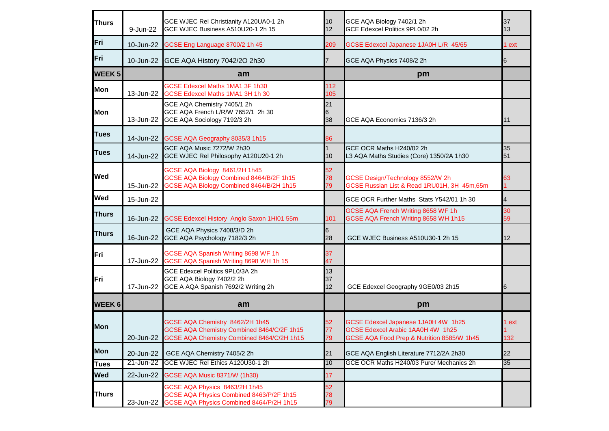| <b>Thurs</b>  | 9-Jun-22  | GCE WJEC Rel Christianity A120UA0-1 2h<br>GCE WJEC Business A510U20-1 2h 15                                                 | 10<br>12       | GCE AQA Biology 7402/1 2h<br>GCE Edexcel Politics 9PL0/02 2h                                                           | 37<br>13     |
|---------------|-----------|-----------------------------------------------------------------------------------------------------------------------------|----------------|------------------------------------------------------------------------------------------------------------------------|--------------|
| Fri           | 10-Jun-22 | GCSE Eng Language 8700/2 1h 45                                                                                              | 209            | GCSE Edexcel Japanese 1JA0H L/R 45/65                                                                                  | 1 ext        |
| Fri           |           | 10-Jun-22 GCE AQA History 7042/20 2h30                                                                                      |                | GCE AQA Physics 7408/2 2h                                                                                              | 6            |
| <b>WEEK 5</b> |           | am                                                                                                                          |                | pm                                                                                                                     |              |
| Mon           | 13-Jun-22 | GCSE Edexcel Maths 1MA1 3F 1h30<br>GCSE Edexcel Maths 1MA1 3H 1h 30                                                         | 112<br>105     |                                                                                                                        |              |
| <b>Mon</b>    | 13-Jun-22 | GCE AQA Chemistry 7405/1 2h<br>GCE AQA French L/R/W 7652/1 2h 30<br>GCE AQA Sociology 7192/3 2h                             | 21<br>6<br>38  | GCE AQA Economics 7136/3 2h                                                                                            | 11           |
| <b>Tues</b>   | 14-Jun-22 | GCSE AQA Geography 8035/3 1h15                                                                                              | 86             |                                                                                                                        |              |
| <b>Tues</b>   | 14-Jun-22 | GCE AQA Music 7272/W 2h30<br>GCE WJEC Rel Philosophy A120U20-1 2h                                                           | 10             | GCE OCR Maths H240/02 2h<br>L3 AQA Maths Studies (Core) 1350/2A 1h30                                                   | 35<br>51     |
| Wed           | 15-Jun-22 | GCSE AQA Biology 8461/2H 1h45<br>GCSE AQA Biology Combined 8464/B/2F 1h15<br>GCSE AQA Biology Combined 8464/B/2H 1h15       | 52<br>78<br>79 | GCSE Design/Technology 8552/W 2h<br>GCSE Russian List & Read 1RU01H, 3H 45m, 65m                                       | 63           |
| <b>Wed</b>    | 15-Jun-22 |                                                                                                                             |                | GCE OCR Further Maths Stats Y542/01 1h 30                                                                              | 4            |
| <b>Thurs</b>  | 16-Jun-22 | GCSE Edexcel History Anglo Saxon 1HI01 55m                                                                                  | 101            | GCSE AQA French Writing 8658 WF 1h<br>GCSE AQA French Writing 8658 WH 1h15                                             | 30<br>59     |
| <b>Thurs</b>  | 16-Jun-22 | GCE AQA Physics 7408/3/D 2h<br>GCE AQA Psychology 7182/3 2h                                                                 | 28             | GCE WJEC Business A510U30-1 2h 15                                                                                      | 12           |
| Fri           | 17-Jun-22 | GCSE AQA Spanish Writing 8698 WF 1h<br>GCSE AQA Spanish Writing 8698 WH 1h 15                                               | 37<br>47       |                                                                                                                        |              |
| Fri           | 17-Jun-22 | GCE Edexcel Politics 9PL0/3A 2h<br>GCE AQA Biology 7402/2 2h<br>GCE A AQA Spanish 7692/2 Writing 2h                         | 13<br>37<br>12 | GCE Edexcel Geography 9GE0/03 2h15                                                                                     | 6            |
| <b>WEEK 6</b> |           | am                                                                                                                          |                | pm                                                                                                                     |              |
| <b>Mon</b>    | 20-Jun-22 | GCSE AQA Chemistry 8462/2H 1h45<br>GCSE AQA Chemistry Combined 8464/C/2F 1h15<br>GCSE AQA Chemistry Combined 8464/C/2H 1h15 | 52<br>77<br>79 | GCSE Edexcel Japanese 1JA0H 4W 1h25<br>GCSE Edexcel Arabic 1AA0H 4W 1h25<br>GCSE AQA Food Prep & Nutrition 8585/W 1h45 | 1 ext<br>132 |
| <b>Mon</b>    | 20-Jun-22 | GCE AQA Chemistry 7405/2 2h                                                                                                 | 21             | GCE AQA English Literature 7712/2A 2h30                                                                                | 22           |
| <b>Tues</b>   | 21-Jun-22 | GCE WJEC Rel Ethics A120U30-1 2h                                                                                            | 10             | GCE OCR Maths H240/03 Pure/ Mechanics 2h                                                                               | 35           |
| <b>Wed</b>    | 22-Jun-22 | <b>GCSE AQA Music 8371/W (1h30)</b>                                                                                         | 17             |                                                                                                                        |              |
| <b>Thurs</b>  | 23-Jun-22 | GCSE AQA Physics 8463/2H 1h45<br>GCSE AQA Physics Combined 8463/P/2F 1h15<br>GCSE AQA Physics Combined 8464/P/2H 1h15       | 52<br>78<br>79 |                                                                                                                        |              |